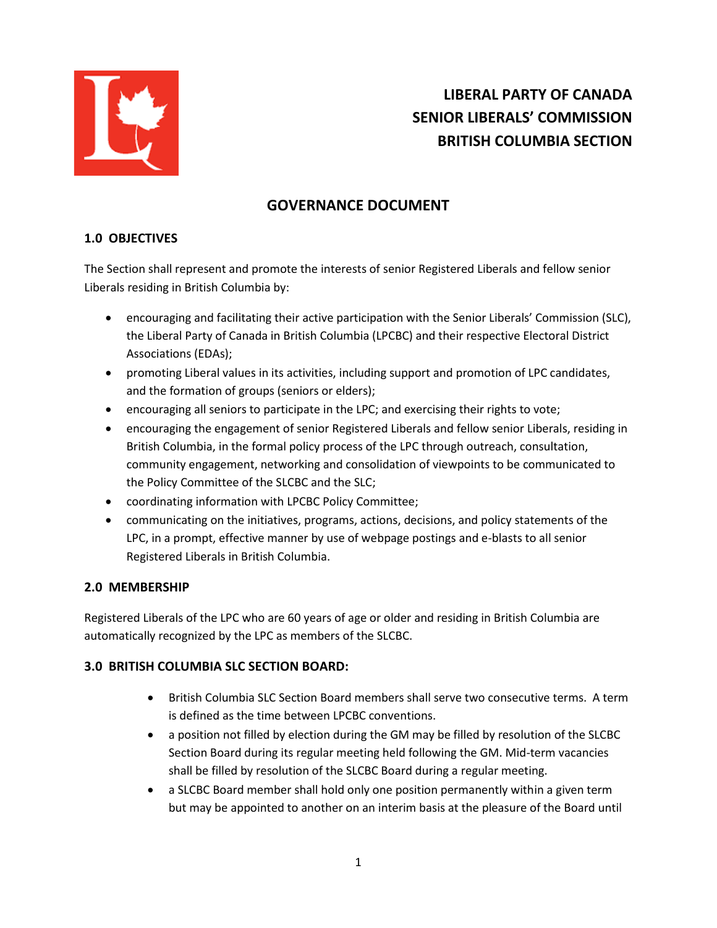

# **LIBERAL PARTY OF CANADA SENIOR LIBERALS' COMMISSION BRITISH COLUMBIA SECTION**

# **GOVERNANCE DOCUMENT**

# **1.0 OBJECTIVES**

The Section shall represent and promote the interests of senior Registered Liberals and fellow senior Liberals residing in British Columbia by:

- encouraging and facilitating their active participation with the Senior Liberals' Commission (SLC), the Liberal Party of Canada in British Columbia (LPCBC) and their respective Electoral District Associations (EDAs);
- promoting Liberal values in its activities, including support and promotion of LPC candidates, and the formation of groups (seniors or elders);
- encouraging all seniors to participate in the LPC; and exercising their rights to vote;
- encouraging the engagement of senior Registered Liberals and fellow senior Liberals, residing in British Columbia, in the formal policy process of the LPC through outreach, consultation, community engagement, networking and consolidation of viewpoints to be communicated to the Policy Committee of the SLCBC and the SLC;
- coordinating information with LPCBC Policy Committee;
- communicating on the initiatives, programs, actions, decisions, and policy statements of the LPC, in a prompt, effective manner by use of webpage postings and e-blasts to all senior Registered Liberals in British Columbia.

# **2.0 MEMBERSHIP**

Registered Liberals of the LPC who are 60 years of age or older and residing in British Columbia are automatically recognized by the LPC as members of the SLCBC.

#### **3.0 BRITISH COLUMBIA SLC SECTION BOARD:**

- British Columbia SLC Section Board members shall serve two consecutive terms. A term is defined as the time between LPCBC conventions.
- a position not filled by election during the GM may be filled by resolution of the SLCBC Section Board during its regular meeting held following the GM. Mid-term vacancies shall be filled by resolution of the SLCBC Board during a regular meeting.
- a SLCBC Board member shall hold only one position permanently within a given term but may be appointed to another on an interim basis at the pleasure of the Board until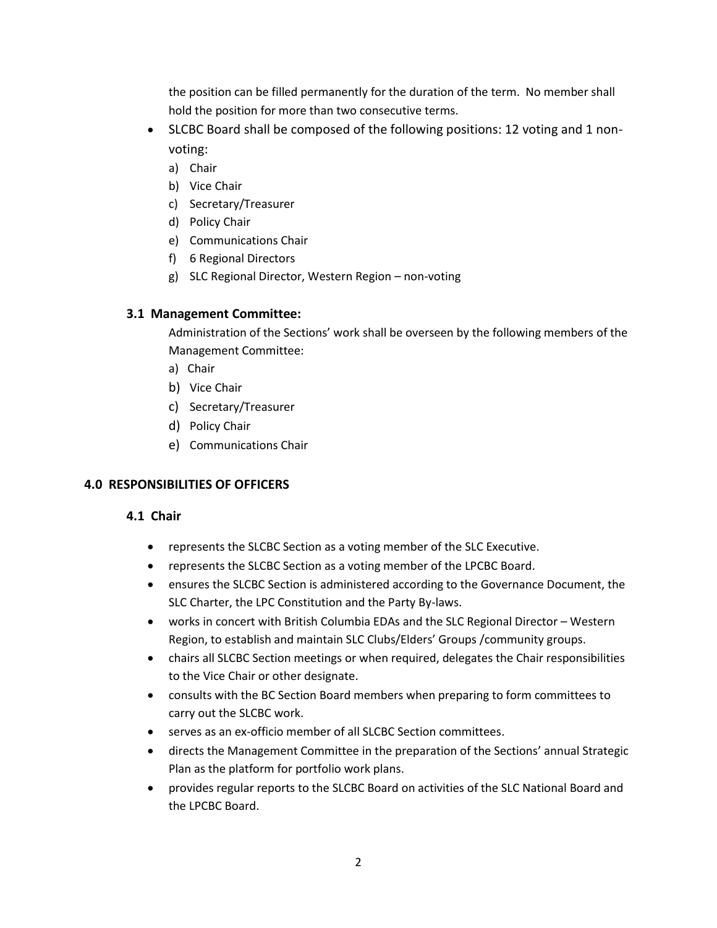the position can be filled permanently for the duration of the term. No member shall hold the position for more than two consecutive terms.

- SLCBC Board shall be composed of the following positions: 12 voting and 1 nonvoting:
	- a) Chair
	- b) Vice Chair
	- c) Secretary/Treasurer
	- d) Policy Chair
	- e) Communications Chair
	- f) 6 Regional Directors
	- g) SLC Regional Director, Western Region non-voting

#### **3.1 Management Committee:**

Administration of the Sections' work shall be overseen by the following members of the Management Committee:

- a) Chair
- b) Vice Chair
- c) Secretary/Treasurer
- d) Policy Chair
- e) Communications Chair

# **4.0 RESPONSIBILITIES OF OFFICERS**

#### **4.1 Chair**

- represents the SLCBC Section as a voting member of the SLC Executive.
- represents the SLCBC Section as a voting member of the LPCBC Board.
- ensures the SLCBC Section is administered according to the Governance Document, the SLC Charter, the LPC Constitution and the Party By-laws.
- works in concert with British Columbia EDAs and the SLC Regional Director Western Region, to establish and maintain SLC Clubs/Elders' Groups /community groups.
- chairs all SLCBC Section meetings or when required, delegates the Chair responsibilities to the Vice Chair or other designate.
- consults with the BC Section Board members when preparing to form committees to carry out the SLCBC work.
- serves as an ex-officio member of all SLCBC Section committees.
- directs the Management Committee in the preparation of the Sections' annual Strategic Plan as the platform for portfolio work plans.
- provides regular reports to the SLCBC Board on activities of the SLC National Board and the LPCBC Board.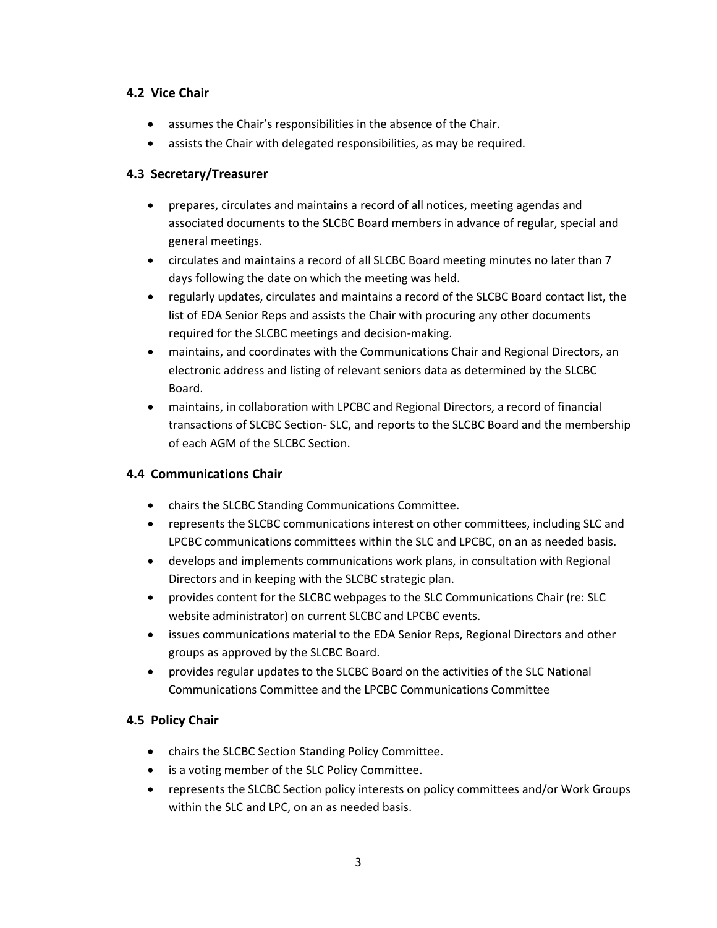## **4.2 Vice Chair**

- assumes the Chair's responsibilities in the absence of the Chair.
- assists the Chair with delegated responsibilities, as may be required.

## **4.3 Secretary/Treasurer**

- prepares, circulates and maintains a record of all notices, meeting agendas and associated documents to the SLCBC Board members in advance of regular, special and general meetings.
- circulates and maintains a record of all SLCBC Board meeting minutes no later than 7 days following the date on which the meeting was held.
- regularly updates, circulates and maintains a record of the SLCBC Board contact list, the list of EDA Senior Reps and assists the Chair with procuring any other documents required for the SLCBC meetings and decision-making.
- maintains, and coordinates with the Communications Chair and Regional Directors, an electronic address and listing of relevant seniors data as determined by the SLCBC Board.
- maintains, in collaboration with LPCBC and Regional Directors, a record of financial transactions of SLCBC Section- SLC, and reports to the SLCBC Board and the membership of each AGM of the SLCBC Section.

# **4.4 Communications Chair**

- chairs the SLCBC Standing Communications Committee.
- represents the SLCBC communications interest on other committees, including SLC and LPCBC communications committees within the SLC and LPCBC, on an as needed basis.
- develops and implements communications work plans, in consultation with Regional Directors and in keeping with the SLCBC strategic plan.
- provides content for the SLCBC webpages to the SLC Communications Chair (re: SLC website administrator) on current SLCBC and LPCBC events.
- issues communications material to the EDA Senior Reps, Regional Directors and other groups as approved by the SLCBC Board.
- provides regular updates to the SLCBC Board on the activities of the SLC National Communications Committee and the LPCBC Communications Committee

#### **4.5 Policy Chair**

- chairs the SLCBC Section Standing Policy Committee.
- is a voting member of the SLC Policy Committee.
- represents the SLCBC Section policy interests on policy committees and/or Work Groups within the SLC and LPC, on an as needed basis.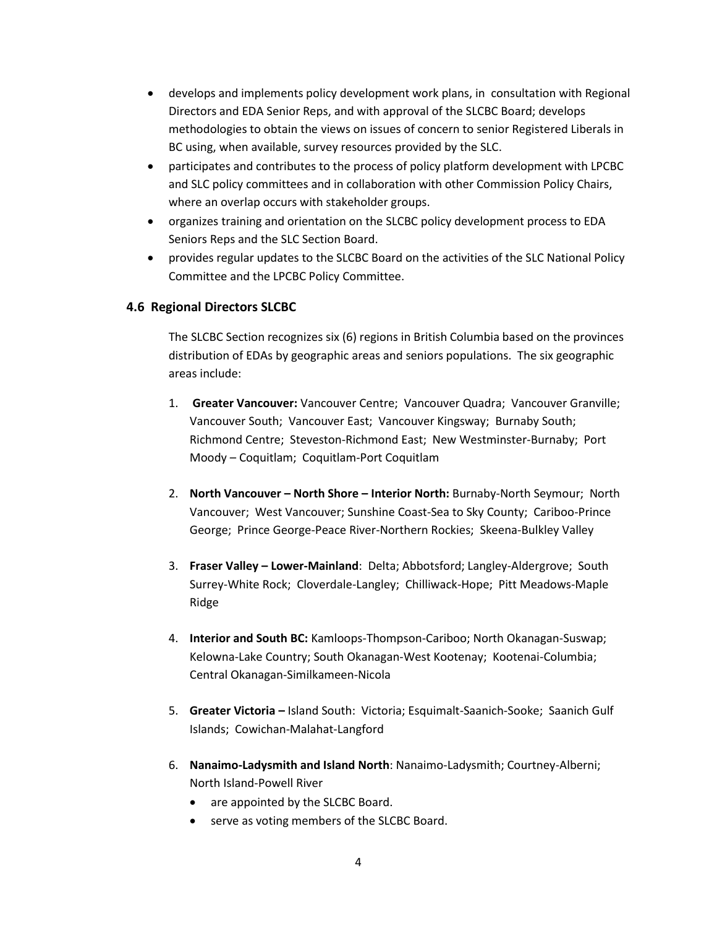- develops and implements policy development work plans, in consultation with Regional Directors and EDA Senior Reps, and with approval of the SLCBC Board; develops methodologies to obtain the views on issues of concern to senior Registered Liberals in BC using, when available, survey resources provided by the SLC.
- participates and contributes to the process of policy platform development with LPCBC and SLC policy committees and in collaboration with other Commission Policy Chairs, where an overlap occurs with stakeholder groups.
- organizes training and orientation on the SLCBC policy development process to EDA Seniors Reps and the SLC Section Board.
- provides regular updates to the SLCBC Board on the activities of the SLC National Policy Committee and the LPCBC Policy Committee.

## **4.6 Regional Directors SLCBC**

The SLCBC Section recognizes six (6) regions in British Columbia based on the provinces distribution of EDAs by geographic areas and seniors populations. The six geographic areas include:

- 1. **Greater Vancouver:** Vancouver Centre; Vancouver Quadra; Vancouver Granville; Vancouver South; Vancouver East; Vancouver Kingsway; Burnaby South; Richmond Centre; Steveston-Richmond East; New Westminster-Burnaby; Port Moody – Coquitlam; Coquitlam-Port Coquitlam
- 2. **North Vancouver – North Shore – Interior North:** Burnaby-North Seymour; North Vancouver; West Vancouver; Sunshine Coast-Sea to Sky County; Cariboo-Prince George; Prince George-Peace River-Northern Rockies; Skeena-Bulkley Valley
- 3. **Fraser Valley – Lower-Mainland**: Delta; Abbotsford; Langley-Aldergrove; South Surrey-White Rock; Cloverdale-Langley; Chilliwack-Hope; Pitt Meadows-Maple Ridge
- 4. **Interior and South BC:** Kamloops-Thompson-Cariboo; North Okanagan-Suswap; Kelowna-Lake Country; South Okanagan-West Kootenay; Kootenai-Columbia; Central Okanagan-Similkameen-Nicola
- 5. **Greater Victoria –** Island South: Victoria; Esquimalt-Saanich-Sooke; Saanich Gulf Islands; Cowichan-Malahat-Langford
- 6. **Nanaimo-Ladysmith and Island North**: Nanaimo-Ladysmith; Courtney-Alberni; North Island-Powell River
	- are appointed by the SLCBC Board.
	- serve as voting members of the SLCBC Board.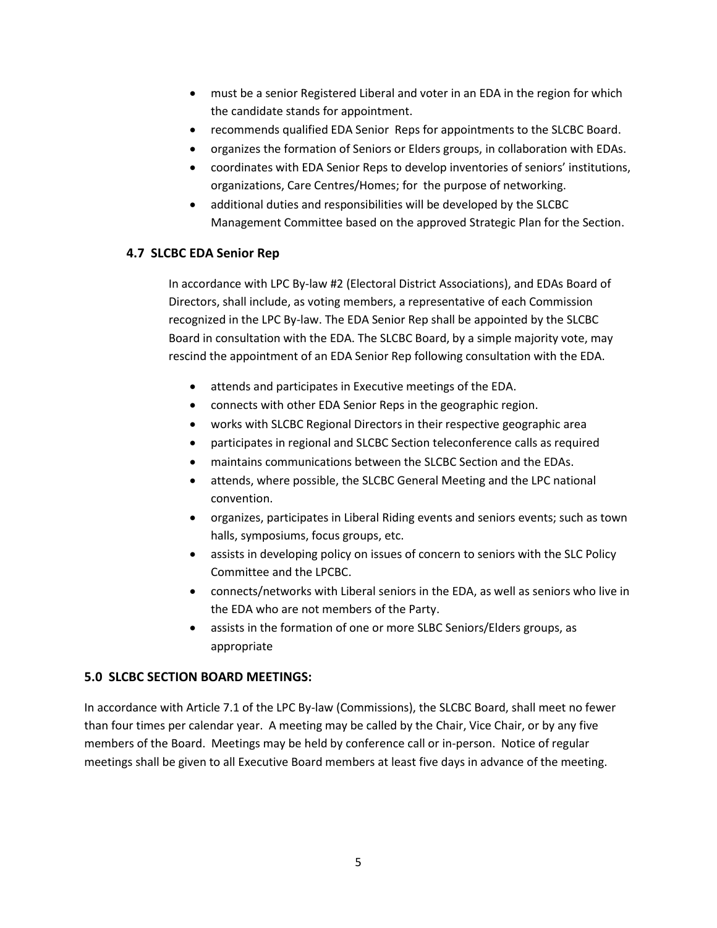- must be a senior Registered Liberal and voter in an EDA in the region for which the candidate stands for appointment.
- recommends qualified EDA Senior Reps for appointments to the SLCBC Board.
- organizes the formation of Seniors or Elders groups, in collaboration with EDAs.
- coordinates with EDA Senior Reps to develop inventories of seniors' institutions, organizations, Care Centres/Homes; for the purpose of networking.
- additional duties and responsibilities will be developed by the SLCBC Management Committee based on the approved Strategic Plan for the Section.

#### **4.7 SLCBC EDA Senior Rep**

In accordance with LPC By-law #2 (Electoral District Associations), and EDAs Board of Directors, shall include, as voting members, a representative of each Commission recognized in the LPC By-law. The EDA Senior Rep shall be appointed by the SLCBC Board in consultation with the EDA. The SLCBC Board, by a simple majority vote, may rescind the appointment of an EDA Senior Rep following consultation with the EDA.

- attends and participates in Executive meetings of the EDA.
- connects with other EDA Senior Reps in the geographic region.
- works with SLCBC Regional Directors in their respective geographic area
- participates in regional and SLCBC Section teleconference calls as required
- maintains communications between the SLCBC Section and the EDAs.
- attends, where possible, the SLCBC General Meeting and the LPC national convention.
- organizes, participates in Liberal Riding events and seniors events; such as town halls, symposiums, focus groups, etc.
- assists in developing policy on issues of concern to seniors with the SLC Policy Committee and the LPCBC.
- connects/networks with Liberal seniors in the EDA, as well as seniors who live in the EDA who are not members of the Party.
- assists in the formation of one or more SLBC Seniors/Elders groups, as appropriate

#### **5.0 SLCBC SECTION BOARD MEETINGS:**

In accordance with Article 7.1 of the LPC By-law (Commissions), the SLCBC Board, shall meet no fewer than four times per calendar year. A meeting may be called by the Chair, Vice Chair, or by any five members of the Board. Meetings may be held by conference call or in-person. Notice of regular meetings shall be given to all Executive Board members at least five days in advance of the meeting.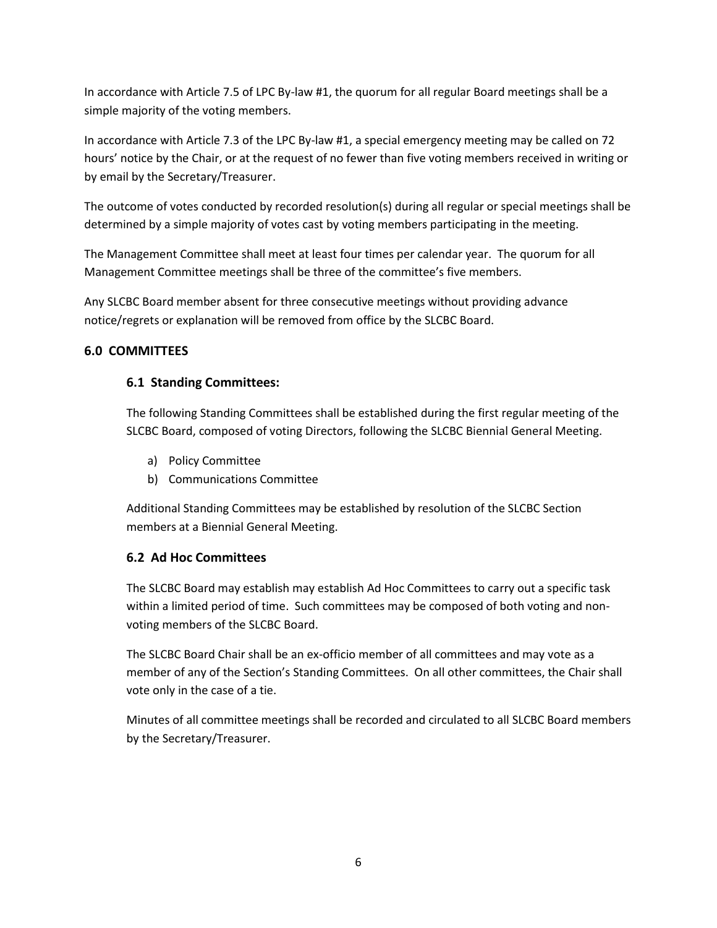In accordance with Article 7.5 of LPC By-law #1, the quorum for all regular Board meetings shall be a simple majority of the voting members.

In accordance with Article 7.3 of the LPC By-law #1, a special emergency meeting may be called on 72 hours' notice by the Chair, or at the request of no fewer than five voting members received in writing or by email by the Secretary/Treasurer.

The outcome of votes conducted by recorded resolution(s) during all regular or special meetings shall be determined by a simple majority of votes cast by voting members participating in the meeting.

The Management Committee shall meet at least four times per calendar year. The quorum for all Management Committee meetings shall be three of the committee's five members.

Any SLCBC Board member absent for three consecutive meetings without providing advance notice/regrets or explanation will be removed from office by the SLCBC Board.

# **6.0 COMMITTEES**

# **6.1 Standing Committees:**

The following Standing Committees shall be established during the first regular meeting of the SLCBC Board, composed of voting Directors, following the SLCBC Biennial General Meeting.

- a) Policy Committee
- b) Communications Committee

Additional Standing Committees may be established by resolution of the SLCBC Section members at a Biennial General Meeting.

# **6.2 Ad Hoc Committees**

The SLCBC Board may establish may establish Ad Hoc Committees to carry out a specific task within a limited period of time. Such committees may be composed of both voting and nonvoting members of the SLCBC Board.

The SLCBC Board Chair shall be an ex-officio member of all committees and may vote as a member of any of the Section's Standing Committees. On all other committees, the Chair shall vote only in the case of a tie.

Minutes of all committee meetings shall be recorded and circulated to all SLCBC Board members by the Secretary/Treasurer.